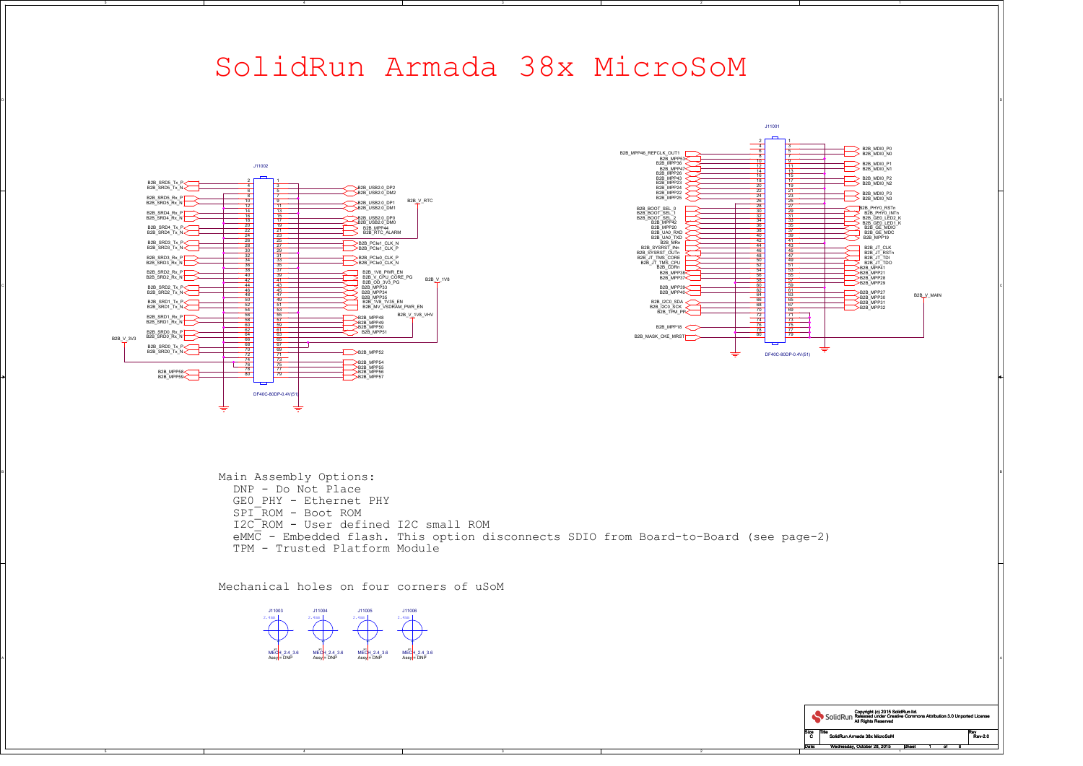2

| SolidRun Armada 38x MicroSoM                                                                                                                                                                                                                                                                                                                                                                                                                                                                                                                                                                                                                                                                                                                                                                                                                                                                                                                                                                                                                                                                                                                                                                                                                                                                                                                                                                                                                                                                                                                                                                                                                                                                                  |                |  |  |  |
|---------------------------------------------------------------------------------------------------------------------------------------------------------------------------------------------------------------------------------------------------------------------------------------------------------------------------------------------------------------------------------------------------------------------------------------------------------------------------------------------------------------------------------------------------------------------------------------------------------------------------------------------------------------------------------------------------------------------------------------------------------------------------------------------------------------------------------------------------------------------------------------------------------------------------------------------------------------------------------------------------------------------------------------------------------------------------------------------------------------------------------------------------------------------------------------------------------------------------------------------------------------------------------------------------------------------------------------------------------------------------------------------------------------------------------------------------------------------------------------------------------------------------------------------------------------------------------------------------------------------------------------------------------------------------------------------------------------|----------------|--|--|--|
| J11001<br>B2B MDI0 P0<br>B2B_MPP46_REFCLK_OUT1<br>B2B_MDI0_N0<br>B2B MPP53<<br>B2B MPP36<br>B2B_MDIO_P1<br>J11002<br>B2B MPP47<br>B2B_MPP26<br>B2B MPP43<br>B2B_MDI0_P2<br>B2B_MDI0_N2<br>B2B_SRD5_Tx_P<br>B2B_MPP23<br>B2B_SRD5_Tx_N<br>B2B_MPP24<br>B2B USB2.0 DP2<br>B2B_USB2.0_DM2<br>B2B MPP22<br>B2B_MDI0_P3<br>B2B_SRD5_Rx_P<br>B2B_MPP25<br>B2B_V_RTC<br>B2B_SRD5_Rx_N<br>B2B_USB2.0_DP1<br>11<br>B2B PHY0 RSTn<br>B2B_USB2.0_DM1<br>B2B_BOOT_SEL_0<br>B2B_SRD4_Rx_P<br>B2B_PHYO_INTn<br>B2B BOOT SEL 1<br>B2B_SRD4_Rx_N<br>B2B USB2.0 DP0<br>B2B_GE0_LED2_K<br>B2B_BOOT_SEL_2<br>B2B_USB2.0_DM0<br>B2B_MPP42<br>B2B GEO LED1 K<br>19<br>B2B_SRD4_Tx_P<<br>B2B_MPP20<br>B2B_GE_MDIO<br>B <sub>2B</sub> MPP <sub>44</sub><br>B2B_RTC_ALARM<br>B2B_GE_MDC<br>B2B_MPP19<br>B2B SRD4 Tx N<br>B2B_UA0_RXD<br>23<br>B2B_UA0_TXD<br>B2B_MRn<br>$\frac{25}{27}$<br>42<br>41<br>B2B_SRD3_Tx_P<br>B2B_PCle1_CLK_N<br>44<br>$-43$<br>B2B_SRD3_Tx_N<br>B2B SYSRST INn<br>B2B_PCle1_CLK_P<br>B2B_JT_CLK<br>$-45$<br>29<br>46<br>$\frac{1}{\sqrt{2}}$ B2B_JT_RSTn<br>B2B SYSRST_OUTn<br>$\sqrt{47}$<br>$\Rightarrow$ B2B_JT_TDI<br>48<br>B2B SRD3 Rx P<br>B2B_JT_TMS_CORE<br>B2B_PCIe0_CLK_P<br>33<br>49<br>B2B JT TMS CPU<br>B2B SRD3 Rx N<br>B2B_PCle0_CLK_N<br>35<br>B <sub>2B</sub> CDRn<br>$\geq$ B2B MPP41<br>B2B_SRD2_Rx_P<br>B2B 1V8 PWR EN<br><b>B2B_MPP38&lt;</b><br>B <sub>2B</sub> _MPP <sub>21</sub><br>39<br>56<br>40<br>B2B_SRD2_Rx_N<br>B2B_V_CPU_CORE_PG<br>B2B_MPP37<<br>B2B_V_1V8<br>41<br>42<br>B2B_OD_3V3_PG<br>B2B_MPP29<br>43<br>$\Rightarrow$ B2B_MPP33<br>B2B_SRD2_Tx_P<br><br>B2B_SRD2_Tx_N<br><<br>B2B_MPP39<<br>$\frac{45}{47}$<br><u>62</u><br>B2B_MPP34<br>B2B_MPP40<br>B2B MPP27<br> |                |  |  |  |
| Main Assembly Options:<br>DNP - Do Not Place<br>GEO PHY - Ethernet PHY<br>$SPI-ROM - Boot ROM$<br>I2C <sup>-</sup> ROM - User defined I2C small ROM<br>$eMM\overline{C}$ - Embedded flash. This option disconnects SDIO from Board-to-Board (see page-2)<br>TPM - Trusted Platform Module<br>Mechanical holes on four corners of uSoM<br>J11003<br>J11006<br>J11004<br>J11005<br>2.4mm<br>2.4mm<br>2.4mm<br>2.4mm<br>MECH_2.4_3.6<br>Assy = DNP<br>MECH_2.4_3.6<br>Assy = DNP<br>$MECH_2.4_3.6$<br>Assy = DNP<br>MECH_2.4_3.6<br>Assy = DNP                                                                                                                                                                                                                                                                                                                                                                                                                                                                                                                                                                                                                                                                                                                                                                                                                                                                                                                                                                                                                                                                                                                                                                   |                |  |  |  |
| Copyright (c) 2015 SolidRun Itd.<br>SolidRun Released under Creative Commons Attribution 3.0 Unported License<br>Size<br><b>Title</b><br>SolidRun Armada 38x MicroSoM<br>Wednesday, October 28, 2015 Sheet<br>of $6$                                                                                                                                                                                                                                                                                                                                                                                                                                                                                                                                                                                                                                                                                                                                                                                                                                                                                                                                                                                                                                                                                                                                                                                                                                                                                                                                                                                                                                                                                          | Rev<br>Rev-2.0 |  |  |  |

## SolidRun Armada 38x MicroSoM







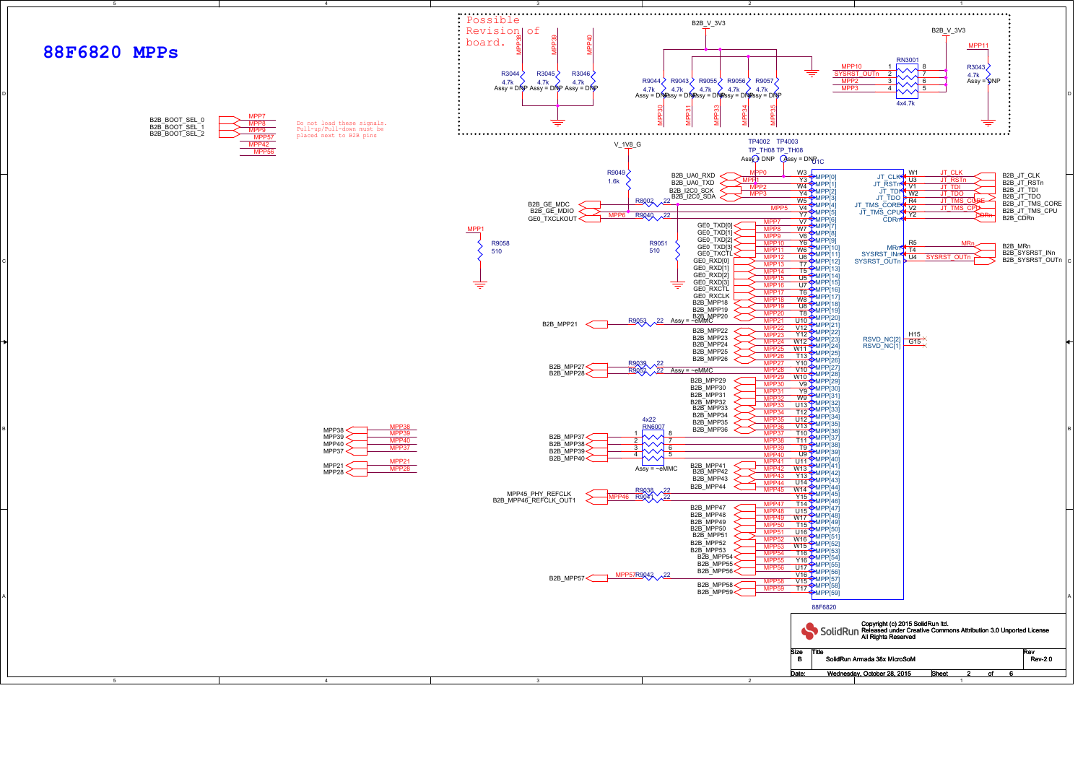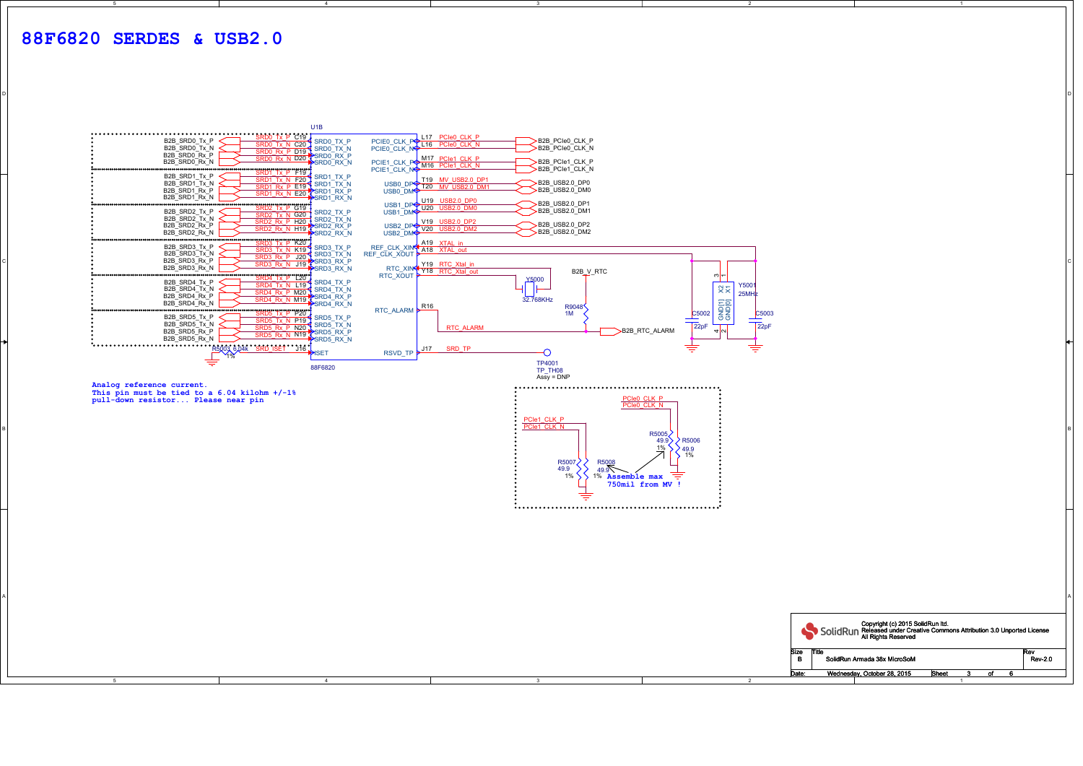4

3

о от селото на селото на селото на селото на селото на селото на селото на селото на селото на селото на селот<br>Останата на селото на селото на селото на селото на селото на селото на селото на селото на селото на селото н

| SRD0 Tx P C19 ↓<br>SRD0 Tx N C20 ↓ SRD0 TX P<br>SRD0 Rx P D19 ↓ SRD0 TX N<br>SRD0 Rx N D20 ↓ SRD0 RX P<br>A CRD → SRD0 RX N<br>B2B_SRD0_Tx_P<br>B2B_SRD0_Tx_N<br>B2B SRD0 Rx P<br>B2B_SRD0_Rx_N<br><del>.</del>       | PCIEO_CLK_PO_L17_PCIeO_CLK_P<br>PCIEO_CLK_NO_L16_PCIeO_CLK_N_<br>B2B_PCle0_CLK_P<br>B2B_PCle0_CLK_N<br>B2B_PCle1_CLK_P<br>>B2B_PCle1_CLK_N<br>PCIE1_CLK_N                                                         |
|-----------------------------------------------------------------------------------------------------------------------------------------------------------------------------------------------------------------------|-------------------------------------------------------------------------------------------------------------------------------------------------------------------------------------------------------------------|
| $\cdots$<br>B2B_SRD1_Tx_P<br>SRD1 Tx N F20 SRD1 TX P<br>B2B SRD1 Tx N<br>SRD1 Rx P E19 SRD1_TX_N<br>B2B SRD1 Rx P<br>SRD1_Rx_P_E19 \SRD1_RX_P<br>SRD1_Rx_N_E20 \SRD1_RX_N<br>B2B SRD1 Rx N                            | T19 MV USB2.0 DP1<br>>B2B_USB2.0_DP0<br>USB0_DPO T20 MV_USB2.0_DM1<br>USB0_DMP T20 MV_USB2.0_DM1<br>>B2B_USB2.0_DM0<br>U19 USB2.0_DP0                                                                             |
| $\frac{1}{2}$<br>B2B_SRD2_Tx_P<br>SRD2_TX_P<br>SRD2_Tx_N_G20<br>B2B_SRD2_Tx_N<br>B2B SRD2 Rx P<br>B2B_SRD2_Rx_N                                                                                                       | >B2B_USB2.0_DP1<br>USB1_DP <sup>O</sup> U20 USB2.0 DM0<br>USB1_DMO<br>$>$ B2B_USB2.0_DM1<br>USB2_DP <sup>&gt;</sup> V19_USB2.0_DP2<br>USB2_DM <sup>&gt;</sup> V20_USB2.0_DM2<br>>B2B_USB2.0_DP2<br>B2B_USB2.0_DM2 |
| ão o o o o o o o o o o o o o<br>B2B_SRD3_Tx_P<br>SRD3 Tx N K19 SRD3_TX_P<br>B2B_SRD3_Tx_N<br>SRD3 Rx P J20 SRD3 TX N<br>B2B SRD3 Rx P<br><b>SRD3_Rx_N_J19 PSRD3_RX_P</b><br>SRD3_Rx_N_J19 PSRD3_RX_N<br>B2B SRD3 Rx N | REF_CLK_XIN <sup>2</sup> A19 XTAL_in<br>REF_CLK_XOUT<br>Y19 RTC_Xtal_in                                                                                                                                           |
| B2B_SRD4_Tx_P<br>$\frac{120}{3RD4 TX N}$ L19 SRD4_TX_P<br>B2B_SRD4_Tx_N<br>$\frac{1000}{3804}$<br>B2B SRD4 Rx P<br>SRD4_Rx_P_M20_I<br>SRD4_Rx_N_M19_ISRD4_RX_N<br>SRD4_RX_N<br>B2B_SRD4_Rx_N                          | RTC_XIN <sup>d</sup> Y18 RTC_Xtal_out<br>B2B_V_RTC<br>RTC_XOUT ▶<br>∾∣∽<br><b>Y5000</b><br>Y500<br>$\times\lesssim$<br>$25$ MH $\frac{1}{2}$<br>32.768KHz                                                         |
| $\frac{1}{200}$ SRD5 Tx P P20<br>B2B_SRD5_Tx_P<br>SRD5 Tx N P19 SRD5_TX_P<br>B2B_SRD5_Tx_N<br>SRD5 IX N P19 SRD5 IX N<br>SRD5 Rx P N20 SRD5 RX P<br>SRD5 Rx N N19 SRD5 RX P<br>B2B_SRD5_Rx_P<br>B2B SRD5 Rx N         | GND[1]<br>GND[0]<br>R9048<br>RTC_ALARM R16<br>1M<br>$\frac{\text{C5002}}{\text{22pF}}$<br>$C_{5003}$<br>$\sqrt{22pF}$<br>$\frac{1}{2}$<br><b>RTC ALARM</b><br>>B2B_RTC_ALARM                                      |
| DISET<br>≑<br>88F6820                                                                                                                                                                                                 | 亏<br><u>J17</u><br>SRD TP<br>₹<br>RSVD_TP<br>TP4001<br>TP TH08                                                                                                                                                    |
| Analog reference current.<br>This pin must be tied to a $6.04$ kilohm $+/-1$ <sup>8</sup><br>pull-down resistor Please near pin                                                                                       | $Assy = DNP$<br>PCIe0 CLK P<br>PCIe0 CLK N                                                                                                                                                                        |
|                                                                                                                                                                                                                       | PCle1_CLK_P<br>PCIe1_CLK_N<br>R5005<br>$\overline{\phantom{1}}$ R5006<br>49.9)<br>1%                                                                                                                              |
|                                                                                                                                                                                                                       | $\frac{49.9}{1\%}$<br>R5007<br>R5008<br>49.9<br>$49.9\text{N}$<br>亨<br>1%<br>1% Assemble max<br>750mil from MV !                                                                                                  |
|                                                                                                                                                                                                                       |                                                                                                                                                                                                                   |
|                                                                                                                                                                                                                       |                                                                                                                                                                                                                   |
|                                                                                                                                                                                                                       |                                                                                                                                                                                                                   |
|                                                                                                                                                                                                                       |                                                                                                                                                                                                                   |
|                                                                                                                                                                                                                       | Copyright (c) 2015 SolidRun Itd.<br>SOLIDRUN Released under Creative Commons Attribution 3.0 Unported License<br>All Rights Reserved<br>Size<br>Γitle<br>Rev                                                      |
| $\overline{4}$<br>-5                                                                                                                                                                                                  | SolidRun Armada 38x MicroSoM<br><b>B</b><br><b>Rev-2.0</b><br>Wednesday, October 28, 2015<br>Sheet<br>of<br>-6<br>$\mathbf{3}$<br>2                                                                               |
|                                                                                                                                                                                                                       |                                                                                                                                                                                                                   |

2

1

D

## **88F6820 SERDES & USB2.0**

5



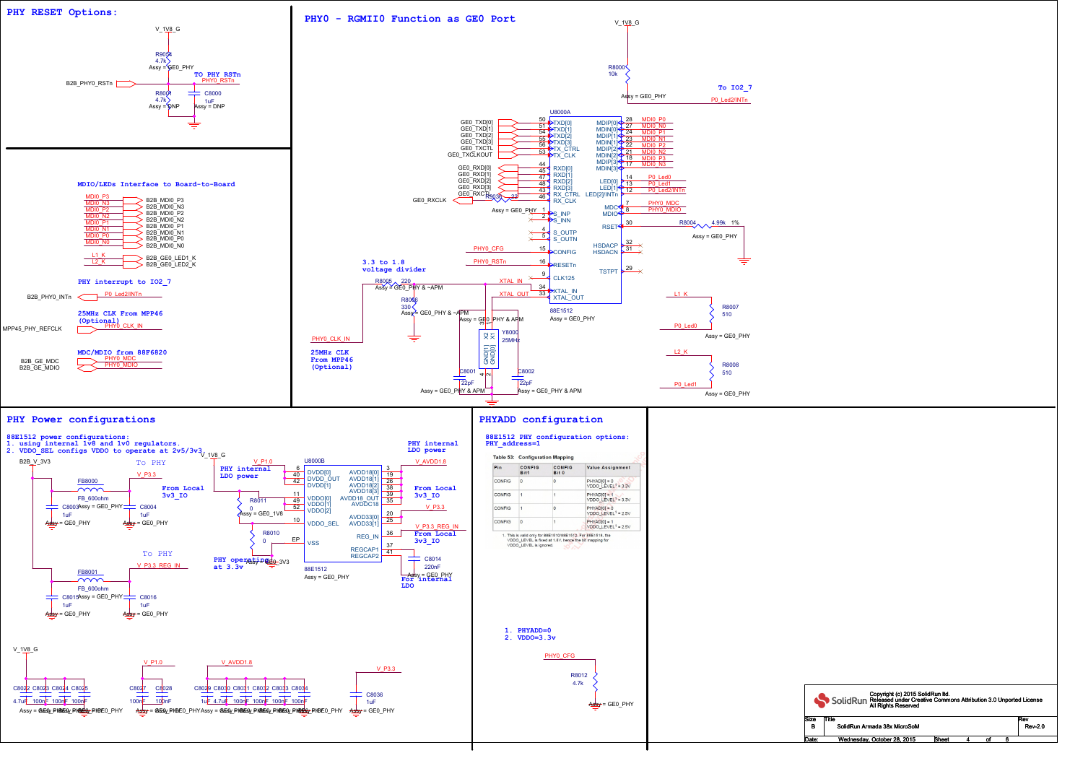|                         | Copyright (c) 2015 SolidRun Itd.<br>SolidRun Released under Creative Commons Attribution 3.0 Unported License<br>All Rights Reserved |                       |
|-------------------------|--------------------------------------------------------------------------------------------------------------------------------------|-----------------------|
| ze<br>в                 | Title<br>SolidRun Armada 38x MicroSoM                                                                                                | Rev<br><b>Rev-2.0</b> |
| $\overline{\text{ate}}$ | Sheet<br>Wednesday, October 28, 2015<br>4<br>of<br>6                                                                                 |                       |



Size<br>B Date: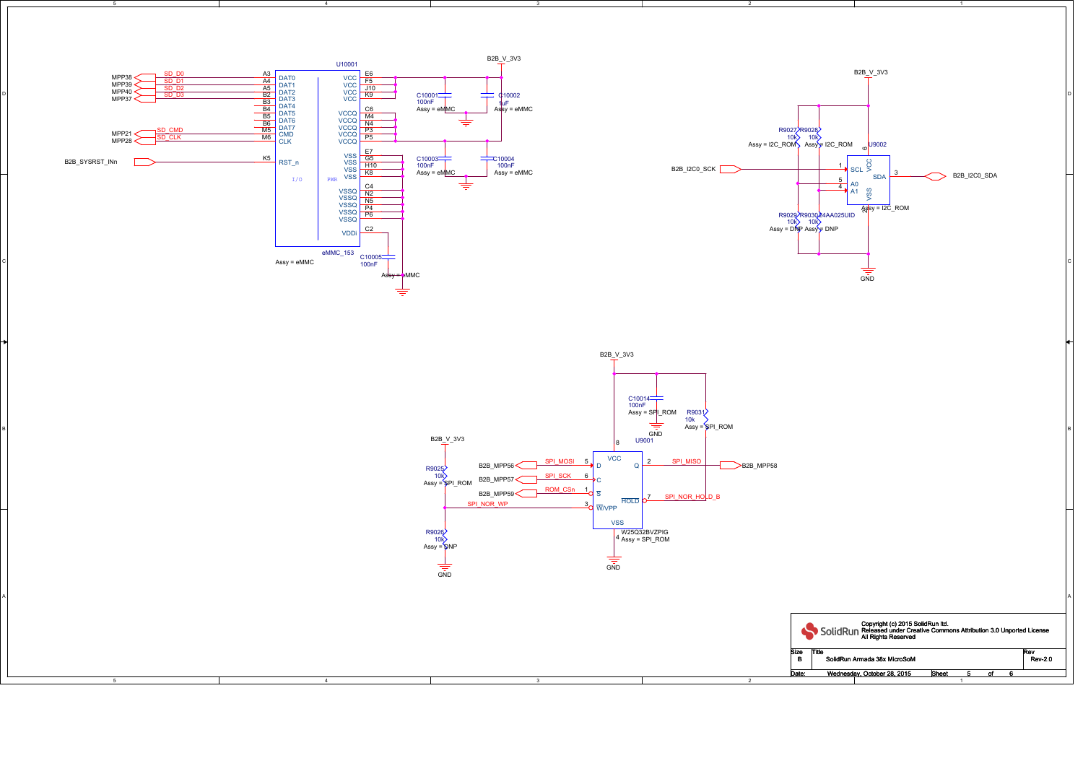4

4

5

3

3

2

2

1

D

C

A